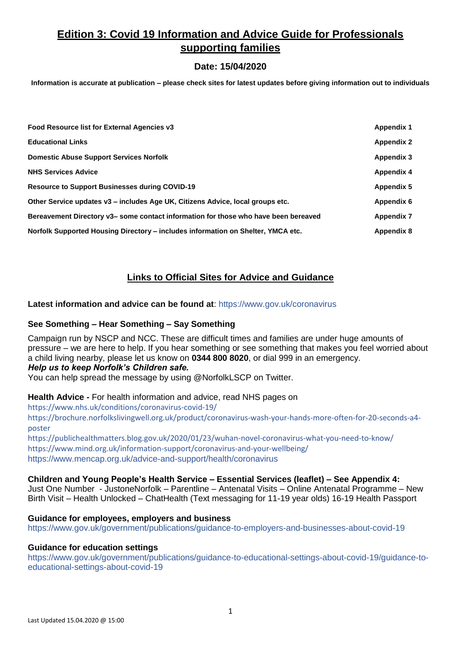# **Edition 3: Covid 19 Information and Advice Guide for Professionals supporting families**

# **Date: 15/04/2020**

**Information is accurate at publication – please check sites for latest updates before giving information out to individuals**

| Food Resource list for External Agencies v3                                         | <b>Appendix 1</b> |
|-------------------------------------------------------------------------------------|-------------------|
| <b>Educational Links</b>                                                            | <b>Appendix 2</b> |
| <b>Domestic Abuse Support Services Norfolk</b>                                      | <b>Appendix 3</b> |
| <b>NHS Services Advice</b>                                                          | <b>Appendix 4</b> |
| <b>Resource to Support Businesses during COVID-19</b>                               | Appendix 5        |
| Other Service updates v3 – includes Age UK, Citizens Advice, local groups etc.      | Appendix 6        |
| Bereavement Directory v3– some contact information for those who have been bereaved | <b>Appendix 7</b> |
| Norfolk Supported Housing Directory – includes information on Shelter, YMCA etc.    | <b>Appendix 8</b> |

# **Links to Official Sites for Advice and Guidance**

**Latest information and advice can be found at**: <https://www.gov.uk/coronavirus>

#### **See Something – Hear Something – Say Something**

Campaign run by NSCP and NCC. These are difficult times and families are under huge amounts of pressure – we are here to help. If you hear something or see something that makes you feel worried about a child living nearby, please let us know on **0344 800 8020**, or dial 999 in an emergency. *Help us to keep Norfolk's Children safe.* 

You can help spread the message by using @NorfolkLSCP on Twitter.

**Health Advice -** For health information and advice, read NHS pages on

<https://www.nhs.uk/conditions/coronavirus-covid-19/>

[https://brochure.norfolkslivingwell.org.uk/product/coronavirus-wash-your-hands-more-often-for-20-seconds-a4](https://brochure.norfolkslivingwell.org.uk/product/coronavirus-wash-your-hands-more-often-for-20-seconds-a4-poster) [poster](https://brochure.norfolkslivingwell.org.uk/product/coronavirus-wash-your-hands-more-often-for-20-seconds-a4-poster)

<https://publichealthmatters.blog.gov.uk/2020/01/23/wuhan-novel-coronavirus-what-you-need-to-know/> <https://www.mind.org.uk/information-support/coronavirus-and-your-wellbeing/> <https://www.mencap.org.uk/advice-and-support/health/coronavirus>

**Children and Young People's Health Service – Essential Services (leaflet) – See Appendix 4:**  Just One Number - JustoneNorfolk – Parentline – Antenatal Visits – Online Antenatal Programme – New

Birth Visit – Health Unlocked – ChatHealth (Text messaging for 11-19 year olds) 16-19 Health Passport

### **Guidance for employees, employers and business**

<https://www.gov.uk/government/publications/guidance-to-employers-and-businesses-about-covid-19>

#### **Guidance for education settings**

[https://www.gov.uk/government/publications/guidance-to-educational-settings-about-covid-19/guidance-to](https://www.gov.uk/government/publications/guidance-to-educational-settings-about-covid-19/guidance-to-educational-settings-about-covid-19)[educational-settings-about-covid-19](https://www.gov.uk/government/publications/guidance-to-educational-settings-about-covid-19/guidance-to-educational-settings-about-covid-19)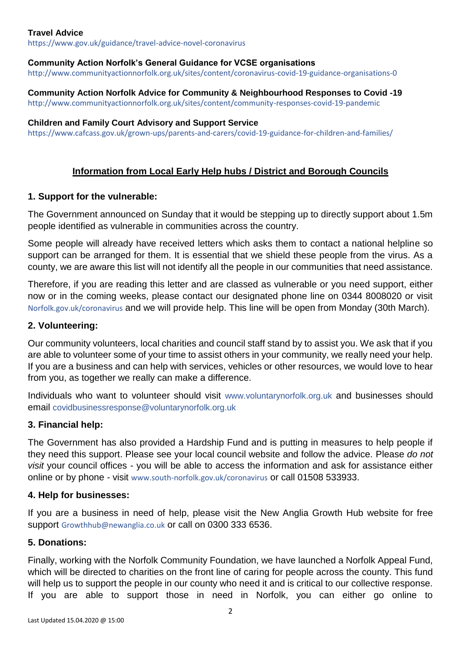### **Travel Advice**

<https://www.gov.uk/guidance/travel-advice-novel-coronavirus>

### **Community Action Norfolk's General Guidance for VCSE organisations**

<http://www.communityactionnorfolk.org.uk/sites/content/coronavirus-covid-19-guidance-organisations-0>

**Community Action Norfolk Advice for Community & Neighbourhood Responses to Covid -19** <http://www.communityactionnorfolk.org.uk/sites/content/community-responses-covid-19-pandemic>

#### **Children and Family Court Advisory and Support Service**

<https://www.cafcass.gov.uk/grown-ups/parents-and-carers/covid-19-guidance-for-children-and-families/>

# **Information from Local Early Help hubs / District and Borough Councils**

### **1. Support for the vulnerable:**

The Government announced on Sunday that it would be stepping up to directly support about 1.5m people identified as vulnerable in communities across the country.

Some people will already have received letters which asks them to contact a national helpline so support can be arranged for them. It is essential that we shield these people from the virus. As a county, we are aware this list will not identify all the people in our communities that need assistance.

Therefore, if you are reading this letter and are classed as vulnerable or you need support, either now or in the coming weeks, please contact our designated phone line on 0344 8008020 or visit Norfolk.gov.uk/coronavirus and we will provide help. This line will be open from Monday (30th March).

### **2. Volunteering:**

Our community volunteers, local charities and council staff stand by to assist you. We ask that if you are able to volunteer some of your time to assist others in your community, we really need your help. If you are a business and can help with services, vehicles or other resources, we would love to hear from you, as together we really can make a difference.

Individuals who want to volunteer should visit [www.voluntarynorfolk.org.uk](http://www.voluntarynorfolk.org.uk/) and businesses should email [covidbusinessresponse@voluntarynorfolk.org.uk](mailto:covidbusinessresponse@voluntarynorfolk.org.uk)

### **3. Financial help:**

The Government has also provided a Hardship Fund and is putting in measures to help people if they need this support. Please see your local council website and follow the advice. Please *do not visit* your council offices - you will be able to access the information and ask for assistance either online or by phone - visit www.south-norfolk.gov.uk/coronavirus or call 01508 533933.

### **4. Help for businesses:**

If you are a business in need of help, please visit the New Anglia Growth Hub website for free support Growthhub@newanglia.co.uk or call on 0300 333 6536.

### **5. Donations:**

Finally, working with the Norfolk Community Foundation, we have launched a Norfolk Appeal Fund, which will be directed to charities on the front line of caring for people across the county. This fund will help us to support the people in our county who need it and is critical to our collective response. If you are able to support those in need in Norfolk, you can either go online to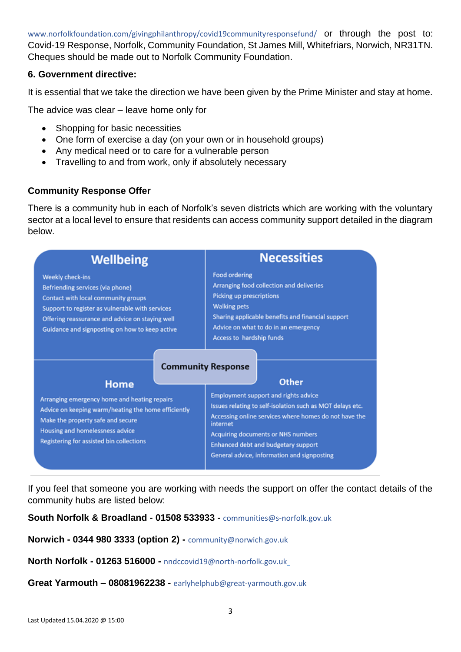www.norfolkfoundation.com/givingphilanthropy/covid19communityresponsefund/ or through the post to: Covid-19 Response, Norfolk, Community Foundation, St James Mill, Whitefriars, Norwich, NR31TN. Cheques should be made out to Norfolk Community Foundation.

## **6. Government directive:**

It is essential that we take the direction we have been given by the Prime Minister and stay at home.

The advice was clear – leave home only for

- Shopping for basic necessities
- One form of exercise a day (on your own or in household groups)
- Any medical need or to care for a vulnerable person
- Travelling to and from work, only if absolutely necessary

# **Community Response Offer**

There is a community hub in each of Norfolk's seven districts which are working with the voluntary sector at a local level to ensure that residents can access community support detailed in the diagram below.

| <b>Wellbeing</b>                                                                                                                                                                                                                                           | <b>Necessities</b>                                                                                                                                                                                                                                                                                                      |  |
|------------------------------------------------------------------------------------------------------------------------------------------------------------------------------------------------------------------------------------------------------------|-------------------------------------------------------------------------------------------------------------------------------------------------------------------------------------------------------------------------------------------------------------------------------------------------------------------------|--|
| <b>Weekly check-ins</b><br>Befriending services (via phone)<br>Contact with local community groups<br>Support to register as vulnerable with services<br>Offering reassurance and advice on staying well<br>Guidance and signposting on how to keep active | <b>Food ordering</b><br>Arranging food collection and deliveries<br><b>Picking up prescriptions</b><br><b>Walking pets</b><br>Sharing applicable benefits and financial support<br>Advice on what to do in an emergency<br>Access to hardship funds                                                                     |  |
| Home                                                                                                                                                                                                                                                       | <b>Community Response</b><br><b>Other</b>                                                                                                                                                                                                                                                                               |  |
| Arranging emergency home and heating repairs<br>Advice on keeping warm/heating the home efficiently<br>Make the property safe and secure<br>Housing and homelessness advice<br>Registering for assisted bin collections                                    | <b>Employment support and rights advice</b><br>Issues relating to self-isolation such as MOT delays etc.<br>Accessing online services where homes do not have the<br>internet<br><b>Acquiring documents or NHS numbers</b><br><b>Enhanced debt and budgetary support</b><br>General advice, information and signposting |  |

If you feel that someone you are working with needs the support on offer the contact details of the community hubs are listed below:

**South Norfolk & Broadland - 01508 533933 -** [communities@s-norfolk.gov.uk](mailto:communities@s-norfolk.gov.uk)

**Norwich - 0344 980 3333 (option 2) -** [community@norwich.gov.uk](mailto:community@norwich.gov.uk)

**North Norfolk - 01263 516000 -** [nndccovid19@north-norfolk.gov.uk](mailto:nndccovid19@north-norfolk.gov.uk)

**Great Yarmouth – 08081962238 -** [earlyhelphub@great-yarmouth.gov.uk](mailto:earlyhelphub@great-yarmouth.gov.uk)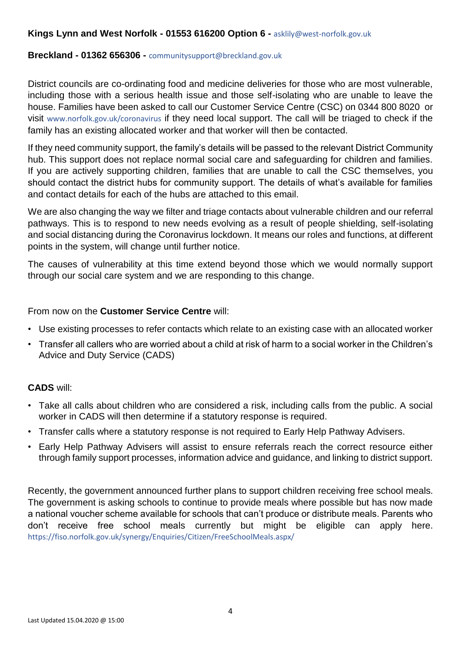### **Kings Lynn and West Norfolk - 01553 616200 Option 6 -** [asklily@west-norfolk.gov.uk](mailto:asklily@west-norfolk.gov.uk)

#### **Breckland - 01362 656306 -** [communitysupport@breckland.gov.uk](mailto:communitysupport@breckland.gov.uk%2001362%20656306)

District councils are co-ordinating food and medicine deliveries for those who are most vulnerable, including those with a serious health issue and those self-isolating who are unable to leave the house. Families have been asked to call our Customer Service Centre (CSC) on 0344 800 8020 or visit www.norfolk.gov.uk/coronavirus if they need local support. The call will be triaged to check if the family has an existing allocated worker and that worker will then be contacted.

If they need community support, the family's details will be passed to the relevant District Community hub. This support does not replace normal social care and safeguarding for children and families. If you are actively supporting children, families that are unable to call the CSC themselves, you should contact the district hubs for community support. The details of what's available for families and contact details for each of the hubs are attached to this email.

We are also changing the way we filter and triage contacts about vulnerable children and our referral pathways. This is to respond to new needs evolving as a result of people shielding, self-isolating and social distancing during the Coronavirus lockdown. It means our roles and functions, at different points in the system, will change until further notice.

The causes of vulnerability at this time extend beyond those which we would normally support through our social care system and we are responding to this change.

### From now on the **Customer Service Centre** will:

- Use existing processes to refer contacts which relate to an existing case with an allocated worker
- Transfer all callers who are worried about a child at risk of harm to a social worker in the Children's Advice and Duty Service (CADS)

### **CADS** will:

- Take all calls about children who are considered a risk, including calls from the public. A social worker in CADS will then determine if a statutory response is required.
- Transfer calls where a statutory response is not required to Early Help Pathway Advisers.
- Early Help Pathway Advisers will assist to ensure referrals reach the correct resource either through family support processes, information advice and guidance, and linking to district support.

Recently, the government announced further plans to support children receiving free school meals. The government is asking schools to continue to provide meals where possible but has now made a national voucher scheme available for schools that can't produce or distribute meals. Parents who don't receive free school meals currently but might be eligible can apply here. https://fiso.norfolk.gov.uk/synergy/Enquiries/Citizen/FreeSchoolMeals.aspx/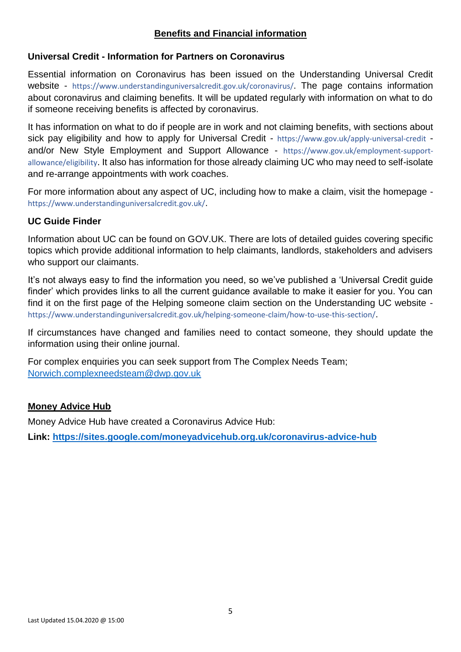# **Benefits and Financial information**

# **Universal Credit - Information for Partners on Coronavirus**

Essential information on Coronavirus has been issued on the Understanding Universal Credit website - <https://www.understandinguniversalcredit.gov.uk/coronavirus/>. The page contains information about coronavirus and claiming benefits. It will be updated regularly with information on what to do if someone receiving benefits is affected by coronavirus.

It has information on what to do if people are in work and not claiming benefits, with sections about sick pay eligibility and how to apply for Universal Credit - <https://www.gov.uk/apply-universal-credit> and/or New Style Employment and Support Allowance - [https://www.gov.uk/employment-support](https://www.gov.uk/employment-support-allowance/eligibility)[allowance/eligibility](https://www.gov.uk/employment-support-allowance/eligibility). It also has information for those already claiming UC who may need to self-isolate and re-arrange appointments with work coaches.

For more information about any aspect of UC, including how to make a claim, visit the homepage <https://www.understandinguniversalcredit.gov.uk/>.

# **UC Guide Finder**

Information about UC can be found on GOV.UK. There are lots of detailed guides covering specific topics which provide additional information to help claimants, landlords, stakeholders and advisers who support our claimants.

It's not always easy to find the information you need, so we've published a 'Universal Credit guide finder' which provides links to all the current guidance available to make it easier for you. You can find it on the first page of the Helping someone claim section on the Understanding UC website <https://www.understandinguniversalcredit.gov.uk/helping-someone-claim/how-to-use-this-section/>.

If circumstances have changed and families need to contact someone, they should update the information using their online journal.

For complex enquiries you can seek support from The Complex Needs Team; [Norwich.complexneedsteam@dwp.gov.uk](mailto:Norwich.complexneedsteam@dwp.gov.uk)

### **Money Advice Hub**

Money Advice Hub have created a Coronavirus Advice Hub:

**Link: <https://sites.google.com/moneyadvicehub.org.uk/coronavirus-advice-hub>**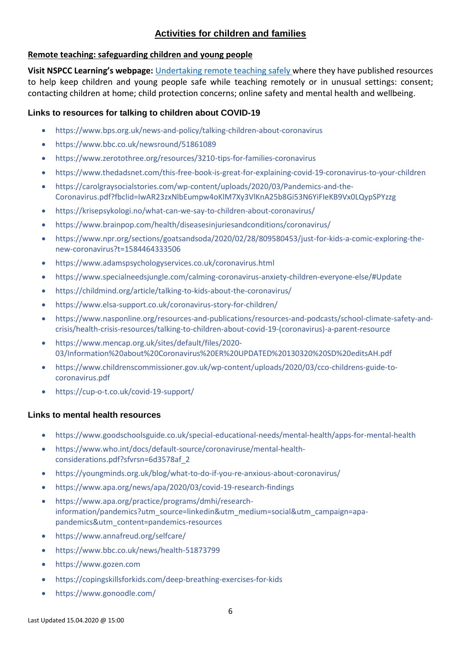# **Activities for children and families**

### **Remote teaching: safeguarding children and young people**

**Visit NSPCC Learning's webpage:** [Undertaking remote teaching safely](http://email.nspcc.org.uk/c/16YtKyLIPvYWI1ob0kKnUAnB5u) where they have published resources to help keep children and young people safe while teaching remotely or in unusual settings: consent; contacting children at home; child protection concerns; online safety and mental health and wellbeing.

## **Links to resources for talking to children about COVID-19**

- <https://www.bps.org.uk/news-and-policy/talking-children-about-coronavirus>
- <https://www.bbc.co.uk/newsround/51861089>
- <https://www.zerotothree.org/resources/3210-tips-for-families-coronavirus>
- <https://www.thedadsnet.com/this-free-book-is-great-for-explaining-covid-19-coronavirus-to-your-children>
- [https://carolgraysocialstories.com/wp-content/uploads/2020/03/Pandemics-and-the-](https://carolgraysocialstories.com/wp-content/uploads/2020/03/Pandemics-and-the-Coronavirus.pdf?fbclid=IwAR23zxNlbEumpw4oKlM7Xy3VlKnA25b8Gi53N6YiFIeKB9Vx0LQypSPYzzg)[Coronavirus.pdf?fbclid=IwAR23zxNlbEumpw4oKlM7Xy3VlKnA25b8Gi53N6YiFIeKB9Vx0LQypSPYzzg](https://carolgraysocialstories.com/wp-content/uploads/2020/03/Pandemics-and-the-Coronavirus.pdf?fbclid=IwAR23zxNlbEumpw4oKlM7Xy3VlKnA25b8Gi53N6YiFIeKB9Vx0LQypSPYzzg)
- <https://krisepsykologi.no/what-can-we-say-to-children-about-coronavirus/>
- <https://www.brainpop.com/health/diseasesinjuriesandconditions/coronavirus/>
- [https://www.npr.org/sections/goatsandsoda/2020/02/28/809580453/just-for-kids-a-comic-exploring-the](https://www.npr.org/sections/goatsandsoda/2020/02/28/809580453/just-for-kids-a-comic-exploring-the-new-coronavirus?t=1584464333506)[new-coronavirus?t=1584464333506](https://www.npr.org/sections/goatsandsoda/2020/02/28/809580453/just-for-kids-a-comic-exploring-the-new-coronavirus?t=1584464333506)
- <https://www.adamspsychologyservices.co.uk/coronavirus.html>
- <https://www.specialneedsjungle.com/calming-coronavirus-anxiety-children-everyone-else/#Update>
- <https://childmind.org/article/talking-to-kids-about-the-coronavirus/>
- <https://www.elsa-support.co.uk/coronavirus-story-for-children/>
- [https://www.nasponline.org/resources-and-publications/resources-and-podcasts/school-climate-safety-and](https://www.nasponline.org/resources-and-publications/resources-and-podcasts/school-climate-safety-and-crisis/health-crisis-resources/talking-to-children-about-covid-19-(coronavirus)-a-parent-resource)[crisis/health-crisis-resources/talking-to-children-about-covid-19-\(coronavirus\)-a-parent-resource](https://www.nasponline.org/resources-and-publications/resources-and-podcasts/school-climate-safety-and-crisis/health-crisis-resources/talking-to-children-about-covid-19-(coronavirus)-a-parent-resource)
- [https://www.mencap.org.uk/sites/default/files/2020-](https://www.mencap.org.uk/sites/default/files/2020-03/Information%20about%20Coronavirus%20ER%20UPDATED%20130320%20SD%20editsAH.pdf) [03/Information%20about%20Coronavirus%20ER%20UPDATED%20130320%20SD%20editsAH.pdf](https://www.mencap.org.uk/sites/default/files/2020-03/Information%20about%20Coronavirus%20ER%20UPDATED%20130320%20SD%20editsAH.pdf)
- [https://www.childrenscommissioner.gov.uk/wp-content/uploads/2020/03/cco-childrens-guide-to](https://www.childrenscommissioner.gov.uk/wp-content/uploads/2020/03/cco-childrens-guide-to-coronavirus.pdf)[coronavirus.pdf](https://www.childrenscommissioner.gov.uk/wp-content/uploads/2020/03/cco-childrens-guide-to-coronavirus.pdf)
- https://cup-o-t.co.uk/covid-19-support/

### **Links to mental health resources**

- <https://www.goodschoolsguide.co.uk/special-educational-needs/mental-health/apps-for-mental-health>
- [https://www.who.int/docs/default-source/coronaviruse/mental-health](https://www.who.int/docs/default-source/coronaviruse/mental-health-considerations.pdf?sfvrsn=6d3578af_2)[considerations.pdf?sfvrsn=6d3578af\\_2](https://www.who.int/docs/default-source/coronaviruse/mental-health-considerations.pdf?sfvrsn=6d3578af_2)
- <https://youngminds.org.uk/blog/what-to-do-if-you-re-anxious-about-coronavirus/>
- <https://www.apa.org/news/apa/2020/03/covid-19-research-findings>
- [https://www.apa.org/practice/programs/dmhi/research](https://www.apa.org/practice/programs/dmhi/research-information/pandemics?utm_source=linkedin&utm_medium=social&utm_campaign=apa-pandemics&utm_content=pandemics-resources)[information/pandemics?utm\\_source=linkedin&utm\\_medium=social&utm\\_campaign=apa](https://www.apa.org/practice/programs/dmhi/research-information/pandemics?utm_source=linkedin&utm_medium=social&utm_campaign=apa-pandemics&utm_content=pandemics-resources)[pandemics&utm\\_content=pandemics-resources](https://www.apa.org/practice/programs/dmhi/research-information/pandemics?utm_source=linkedin&utm_medium=social&utm_campaign=apa-pandemics&utm_content=pandemics-resources)
- <https://www.annafreud.org/selfcare/>
- <https://www.bbc.co.uk/news/health-51873799>
- [https://www.gozen.com](https://www.gozen.com/)
- <https://copingskillsforkids.com/deep-breathing-exercises-for-kids>
- <https://www.gonoodle.com/>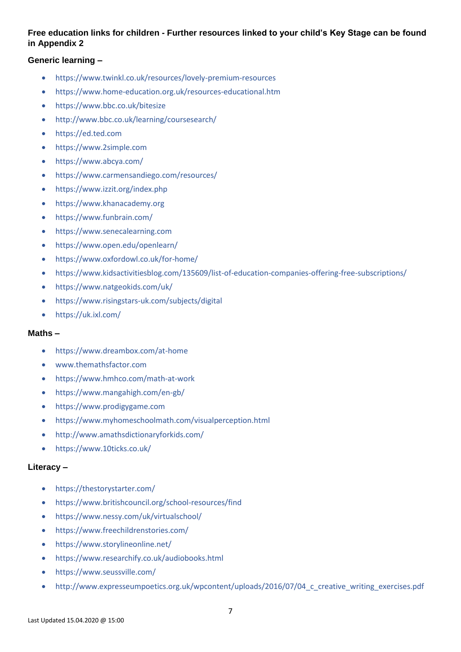### **Free education links for children - Further resources linked to your child's Key Stage can be found in Appendix 2**

### **Generic learning –**

- <https://www.twinkl.co.uk/resources/lovely-premium-resources>
- <https://www.home-education.org.uk/resources-educational.htm>
- <https://www.bbc.co.uk/bitesize>
- <http://www.bbc.co.uk/learning/coursesearch/>
- [https://ed.ted.com](https://ed.ted.com/)
- [https://www.2simple.com](https://www.2simple.com/)
- <https://www.abcya.com/>
- <https://www.carmensandiego.com/resources/>
- <https://www.izzit.org/index.php>
- [https://www.khanacademy.org](https://www.khanacademy.org/)
- <https://www.funbrain.com/>
- [https://www.senecalearning.com](https://www.senecalearning.com/)
- <https://www.open.edu/openlearn/>
- <https://www.oxfordowl.co.uk/for-home/>
- <https://www.kidsactivitiesblog.com/135609/list-of-education-companies-offering-free-subscriptions/>
- <https://www.natgeokids.com/uk/>
- <https://www.risingstars-uk.com/subjects/digital>
- <https://uk.ixl.com/>

#### **Maths –**

- <https://www.dreambox.com/at-home>
- [www.themathsfactor.com](http://www.themathsfactor.com/)
- <https://www.hmhco.com/math-at-work>
- <https://www.mangahigh.com/en-gb/>
- [https://www.prodigygame.com](https://www.prodigygame.com/)
- <https://www.myhomeschoolmath.com/visualperception.html>
- <http://www.amathsdictionaryforkids.com/>
- <https://www.10ticks.co.uk/>

### **Literacy –**

- <https://thestorystarter.com/>
- <https://www.britishcouncil.org/school-resources/find>
- <https://www.nessy.com/uk/virtualschool/>
- <https://www.freechildrenstories.com/>
- <https://www.storylineonline.net/>
- [https://www.researchify.co.uk/audiobooks.html](http://www.researchify.co.uk/audiobooks.html)
- <https://www.seussville.com/>
- http://www.expresseumpoetics.org.uk/wpcontent/uploads/2016/07/04 c creative writing exercises.pdf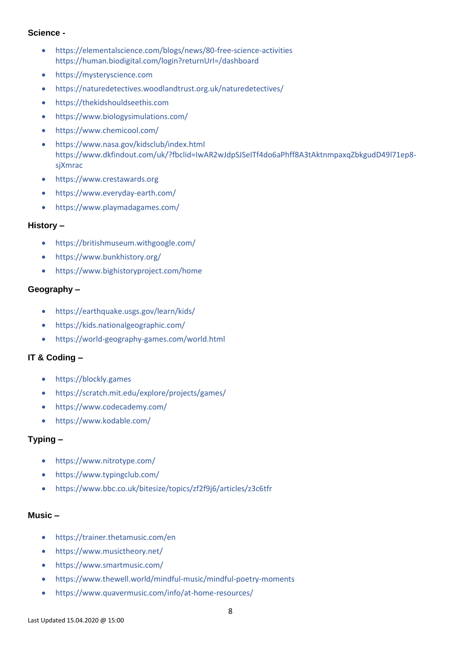### **Science -**

- <https://elementalscience.com/blogs/news/80-free-science-activities> <https://human.biodigital.com/login?returnUrl=/dashboard>
- [https://mysteryscience.com](https://mysteryscience.com/)
- <https://naturedetectives.woodlandtrust.org.uk/naturedetectives/>
- [https://thekidshouldseethis.com](https://thekidshouldseethis.com/)
- <https://www.biologysimulations.com/>
- <https://www.chemicool.com/>
- <https://www.nasa.gov/kidsclub/index.html> [https://www.dkfindout.com/uk/?fbclid=IwAR2wJdpSJSeITf4do6aPhff8A3tAktnmpaxqZbkgudD49l71ep8](https://www.dkfindout.com/uk/?fbclid=IwAR2wJdpSJSeITf4do6aPhff8A3tAktnmpaxqZbkgudD49l71ep8-sjXmrac) [sjXmrac](https://www.dkfindout.com/uk/?fbclid=IwAR2wJdpSJSeITf4do6aPhff8A3tAktnmpaxqZbkgudD49l71ep8-sjXmrac)
- [https://www.crestawards.org](https://www.crestawards.org/)
- <https://www.everyday-earth.com/>
- <https://www.playmadagames.com/>

#### **History –**

- <https://britishmuseum.withgoogle.com/>
- <https://www.bunkhistory.org/>
- <https://www.bighistoryproject.com/home>

#### **Geography –**

- <https://earthquake.usgs.gov/learn/kids/>
- <https://kids.nationalgeographic.com/>
- <https://world-geography-games.com/world.html>

### **IT & Coding –**

- [https://blockly.games](https://blockly.games/)
- <https://scratch.mit.edu/explore/projects/games/>
- <https://www.codecademy.com/>
- <https://www.kodable.com/>

### **Typing –**

- <https://www.nitrotype.com/>
- <https://www.typingclub.com/>
- <https://www.bbc.co.uk/bitesize/topics/zf2f9j6/articles/z3c6tfr>

#### **Music –**

- <https://trainer.thetamusic.com/en>
- <https://www.musictheory.net/>
- <https://www.smartmusic.com/>
- <https://www.thewell.world/mindful-music/mindful-poetry-moments>
- <https://www.quavermusic.com/info/at-home-resources/>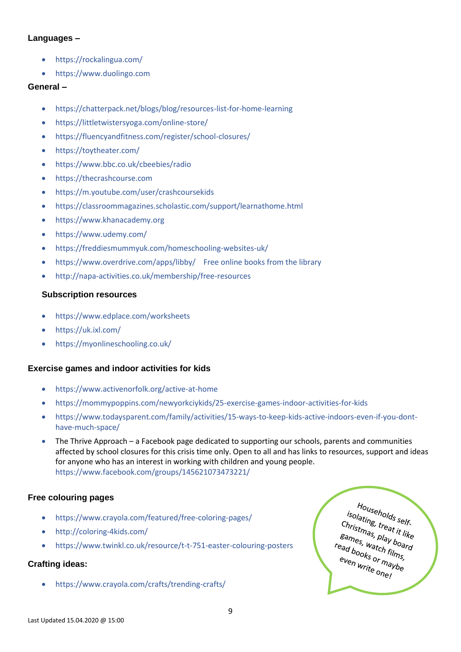#### **Languages –**

- <https://rockalingua.com/>
- [https://www.duolingo.com](https://www.duolingo.com/)

#### **General –**

- <https://chatterpack.net/blogs/blog/resources-list-for-home-learning>
- <https://littletwistersyoga.com/online-store/>
- <https://fluencyandfitness.com/register/school-closures/>
- <https://toytheater.com/>
- <https://www.bbc.co.uk/cbeebies/radio>
- [https://thecrashcourse.com](https://thecrashcourse.com/)
- <https://m.youtube.com/user/crashcoursekids>
- <https://classroommagazines.scholastic.com/support/learnathome.html>
- [https://www.khanacademy.org](https://www.khanacademy.org/)
- <https://www.udemy.com/>
- <https://freddiesmummyuk.com/homeschooling-websites-uk/>
- <https://www.overdrive.com/apps/libby/> Free online books from the library
- <http://napa-activities.co.uk/membership/free-resources>

#### **Subscription resources**

- <https://www.edplace.com/worksheets>
- <https://uk.ixl.com/>
- <https://myonlineschooling.co.uk/>

### **Exercise games and indoor activities for kids**

- <https://www.activenorfolk.org/active-at-home>
- <https://mommypoppins.com/newyorkciykids/25-exercise-games-indoor-activities-for-kids>
- [https://www.todaysparent.com/family/activities/15-ways-to-keep-kids-active-indoors-even-if-you-dont](https://www.todaysparent.com/family/activities/15-ways-to-keep-kids-active-indoors-even-if-you-dont-have-much-space/)[have-much-space/](https://www.todaysparent.com/family/activities/15-ways-to-keep-kids-active-indoors-even-if-you-dont-have-much-space/)
- The Thrive Approach a Facebook page dedicated to supporting our schools, parents and communities affected by school closures for this crisis time only. Open to all and has links to resources, support and ideas for anyone who has an interest in working with children and young people. <https://www.facebook.com/groups/145621073473221/>

### **Free colouring pages**

- <https://www.crayola.com/featured/free-coloring-pages/>
- <http://coloring-4kids.com/>
- <https://www.twinkl.co.uk/resource/t-t-751-easter-colouring-posters>

### **Crafting ideas:**

• <https://www.crayola.com/crafts/trending-crafts/>

Households self.<br>Plating, treat : <sup>rouseholds</sup><br>Solating, treat it like<br>Solatings, treat it like<br>ames solating, treat it like<br>Christmas, treat it like<br>Bames, play board<br>ead book. stmas, <sup>reat</sup> it li.<br>Bames, Watch films,<br>ead books or m.<br>even sames, watch films,<br>read books or films,<br>even write one! even write one!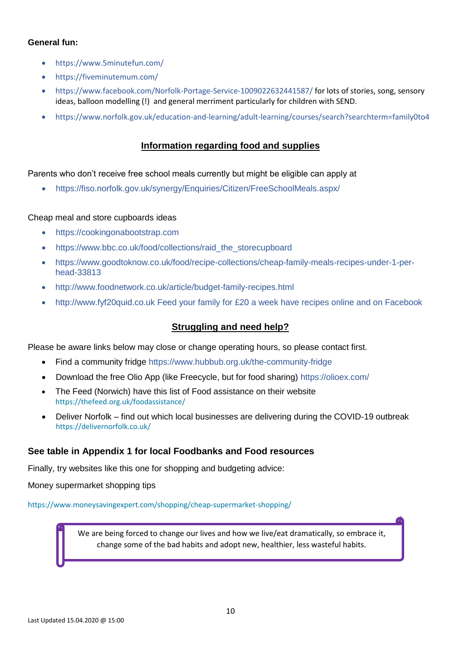### **General fun:**

- <https://www.5minutefun.com/>
- <https://fiveminutemum.com/>
- <https://www.facebook.com/Norfolk-Portage-Service-1009022632441587/> for lots of stories, song, sensory ideas, balloon modelling (!) and general merriment particularly for children with SEND.
- <https://www.norfolk.gov.uk/education-and-learning/adult-learning/courses/search?searchterm=family0to4>

### **Information regarding food and supplies**

Parents who don't receive free school meals currently but might be eligible can apply at

• <https://fiso.norfolk.gov.uk/synergy/Enquiries/Citizen/FreeSchoolMeals.aspx/>

#### Cheap meal and store cupboards ideas

- [https://cookingonabootstrap.com](https://cookingonabootstrap.com/)
- [https://www.bbc.co.uk/food/collections/raid\\_the\\_storecupboard](https://www.bbc.co.uk/food/collections/raid_the_storecupboard)
- [https://www.goodtoknow.co.uk/food/recipe-collections/cheap-family-meals-recipes-under-1-per](https://www.goodtoknow.co.uk/food/recipe-collections/cheap-family-meals-recipes-under-1-per-head-33813)[head-33813](https://www.goodtoknow.co.uk/food/recipe-collections/cheap-family-meals-recipes-under-1-per-head-33813)
- <http://www.foodnetwork.co.uk/article/budget-family-recipes.html>
- http:/[/www.fyf20quid.co.uk](http://www.fyf20quid.co.uk/) Feed your family for £20 a week have recipes online and on Facebook

### **Struggling and need help?**

Please be aware links below may close or change operating hours, so please contact first.

- Find a community fridge<https://www.hubbub.org.uk/the-community-fridge>
- Download the free Olio App (like Freecycle, but for food sharing)<https://olioex.com/>
- The Feed (Norwich) have this list of Food assistance on their website <https://thefeed.org.uk/foodassistance/>
- Deliver Norfolk find out which local businesses are delivering during the COVID-19 outbreak <https://delivernorfolk.co.uk/>

### **See table in Appendix 1 for local Foodbanks and Food resources**

Finally, try websites like this one for shopping and budgeting advice:

Money supermarket shopping tips

<https://www.moneysavingexpert.com/shopping/cheap-supermarket-shopping/>

We are being forced to change our lives and how we live/eat dramatically, so embrace it, change some of the bad habits and adopt new, healthier, less wasteful habits.